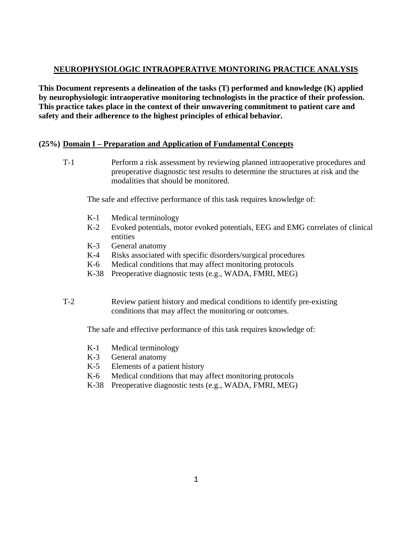## **NEUROPHYSIOLOGIC INTRAOPERATIVE MONTORING PRACTICE ANALYSIS**

**This Document represents a delineation of the tasks (T) performed and knowledge (K) applied by neurophysiologic intraoperative monitoring technologists in the practice of their profession. This practice takes place in the context of their unwavering commitment to patient care and safety and their adherence to the highest principles of ethical behavior.** 

## **(25%) Domain I – Preparation and Application of Fundamental Concepts**

T-1 Perform a risk assessment by reviewing planned intraoperative procedures and preoperative diagnostic test results to determine the structures at risk and the modalities that should be monitored.

The safe and effective performance of this task requires knowledge of:

- K-1 Medical terminology
- K-2 Evoked potentials, motor evoked potentials, EEG and EMG correlates of clinical entities
- K-3 General anatomy
- K-4 Risks associated with specific disorders/surgical procedures
- K-6 Medical conditions that may affect monitoring protocols
- K-38 Preoperative diagnostic tests (e.g., WADA, FMRI, MEG)
- T-2 Review patient history and medical conditions to identify pre-existing conditions that may affect the monitoring or outcomes.

- K-1 Medical terminology
- K-3 General anatomy
- K-5 Elements of a patient history
- K-6 Medical conditions that may affect monitoring protocols
- K-38 Preoperative diagnostic tests (e.g., WADA, FMRI, MEG)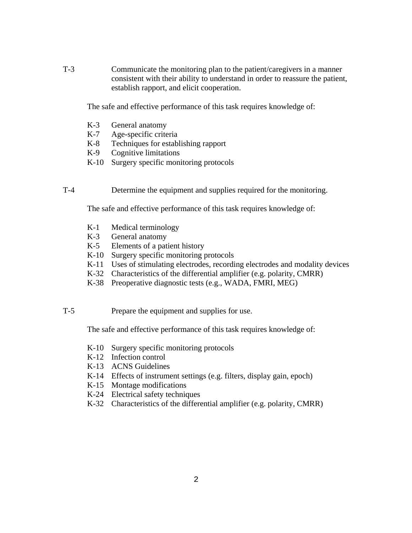T-3 Communicate the monitoring plan to the patient/caregivers in a manner consistent with their ability to understand in order to reassure the patient, establish rapport, and elicit cooperation.

The safe and effective performance of this task requires knowledge of:

- K-3 General anatomy
- K-7 Age-specific criteria
- K-8 Techniques for establishing rapport
- K-9 Cognitive limitations
- K-10 Surgery specific monitoring protocols
- T-4 Determine the equipment and supplies required for the monitoring.

The safe and effective performance of this task requires knowledge of:

- K-1 Medical terminology
- K-3 General anatomy
- K-5 Elements of a patient history
- K-10 Surgery specific monitoring protocols
- K-11 Uses of stimulating electrodes, recording electrodes and modality devices
- K-32 Characteristics of the differential amplifier (e.g. polarity, CMRR)
- K-38 Preoperative diagnostic tests (e.g., WADA, FMRI, MEG)
- T-5 Prepare the equipment and supplies for use.

- K-10 Surgery specific monitoring protocols
- K-12 Infection control
- K-13 ACNS Guidelines
- K-14 Effects of instrument settings (e.g. filters, display gain, epoch)
- K-15 Montage modifications
- K-24 Electrical safety techniques
- K-32 Characteristics of the differential amplifier (e.g. polarity, CMRR)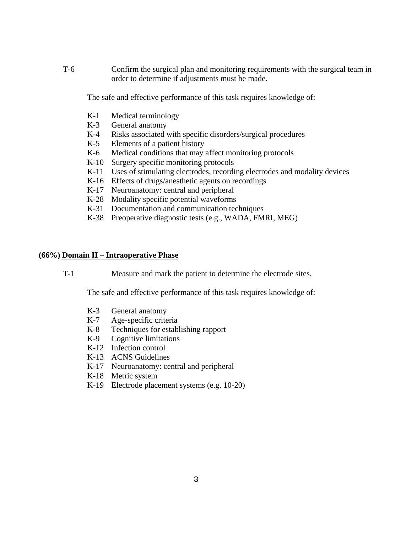T-6 Confirm the surgical plan and monitoring requirements with the surgical team in order to determine if adjustments must be made.

The safe and effective performance of this task requires knowledge of:

- K-1 Medical terminology
- K-3 General anatomy
- K-4 Risks associated with specific disorders/surgical procedures
- K-5 Elements of a patient history
- K-6 Medical conditions that may affect monitoring protocols
- K-10 Surgery specific monitoring protocols
- K-11 Uses of stimulating electrodes, recording electrodes and modality devices
- K-16 Effects of drugs/anesthetic agents on recordings
- K-17 Neuroanatomy: central and peripheral
- K-28 Modality specific potential waveforms
- K-31 Documentation and communication techniques
- K-38 Preoperative diagnostic tests (e.g., WADA, FMRI, MEG)

# **(66%) Domain II – Intraoperative Phase**

T-1 Measure and mark the patient to determine the electrode sites.

- K-3 General anatomy
- K-7 Age-specific criteria
- K-8 Techniques for establishing rapport
- K-9 Cognitive limitations
- K-12 Infection control
- K-13 ACNS Guidelines
- K-17 Neuroanatomy: central and peripheral
- K-18 Metric system
- K-19 Electrode placement systems (e.g. 10-20)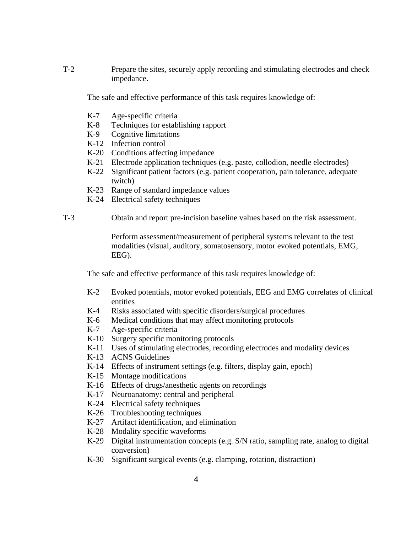T-2 Prepare the sites, securely apply recording and stimulating electrodes and check impedance.

The safe and effective performance of this task requires knowledge of:

- K-7 Age-specific criteria
- K-8 Techniques for establishing rapport
- K-9 Cognitive limitations
- K-12 Infection control
- K-20 Conditions affecting impedance
- K-21 Electrode application techniques (e.g. paste, collodion, needle electrodes)
- K-22 Significant patient factors (e.g. patient cooperation, pain tolerance, adequate twitch)
- K-23 Range of standard impedance values
- K-24 Electrical safety techniques
- T-3 Obtain and report pre-incision baseline values based on the risk assessment.

 Perform assessment/measurement of peripheral systems relevant to the test modalities (visual, auditory, somatosensory, motor evoked potentials, EMG, EEG).

- K-2 Evoked potentials, motor evoked potentials, EEG and EMG correlates of clinical entities
- K-4 Risks associated with specific disorders/surgical procedures
- K-6 Medical conditions that may affect monitoring protocols
- K-7 Age-specific criteria
- K-10 Surgery specific monitoring protocols
- K-11 Uses of stimulating electrodes, recording electrodes and modality devices
- K-13 ACNS Guidelines
- K-14 Effects of instrument settings (e.g. filters, display gain, epoch)
- K-15 Montage modifications
- K-16 Effects of drugs/anesthetic agents on recordings
- K-17 Neuroanatomy: central and peripheral
- K-24 Electrical safety techniques
- K-26 Troubleshooting techniques
- K-27 Artifact identification, and elimination
- K-28 Modality specific waveforms
- K-29 Digital instrumentation concepts (e.g. S/N ratio, sampling rate, analog to digital conversion)
- K-30 Significant surgical events (e.g. clamping, rotation, distraction)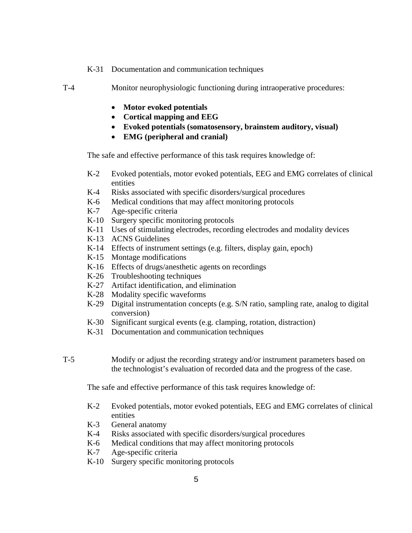- K-31 Documentation and communication techniques
- T-4 Monitor neurophysiologic functioning during intraoperative procedures:
	- **Motor evoked potentials**
	- **Cortical mapping and EEG**
	- **Evoked potentials (somatosensory, brainstem auditory, visual)**
	- **EMG (peripheral and cranial)**

The safe and effective performance of this task requires knowledge of:

- K-2 Evoked potentials, motor evoked potentials, EEG and EMG correlates of clinical entities
- K-4 Risks associated with specific disorders/surgical procedures
- K-6 Medical conditions that may affect monitoring protocols
- K-7 Age-specific criteria
- K-10 Surgery specific monitoring protocols
- K-11 Uses of stimulating electrodes, recording electrodes and modality devices
- K-13 ACNS Guidelines
- K-14 Effects of instrument settings (e.g. filters, display gain, epoch)
- K-15 Montage modifications
- K-16 Effects of drugs/anesthetic agents on recordings
- K-26 Troubleshooting techniques
- K-27 Artifact identification, and elimination
- K-28 Modality specific waveforms
- K-29 Digital instrumentation concepts (e.g. S/N ratio, sampling rate, analog to digital conversion)
- K-30 Significant surgical events (e.g. clamping, rotation, distraction)
- K-31 Documentation and communication techniques
- T-5 Modify or adjust the recording strategy and/or instrument parameters based on the technologist's evaluation of recorded data and the progress of the case.

- K-2 Evoked potentials, motor evoked potentials, EEG and EMG correlates of clinical entities
- K-3 General anatomy
- K-4 Risks associated with specific disorders/surgical procedures
- K-6 Medical conditions that may affect monitoring protocols
- K-7 Age-specific criteria
- K-10 Surgery specific monitoring protocols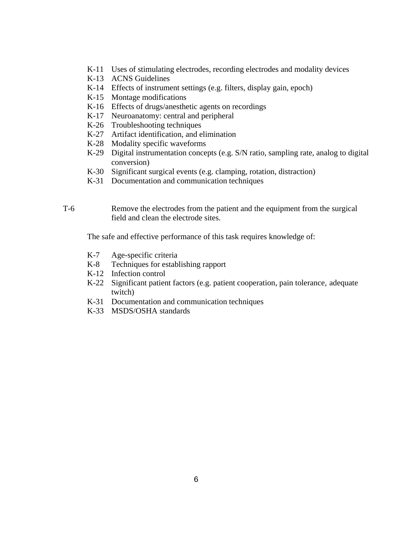- K-11 Uses of stimulating electrodes, recording electrodes and modality devices
- K-13 ACNS Guidelines
- K-14 Effects of instrument settings (e.g. filters, display gain, epoch)
- K-15 Montage modifications
- K-16 Effects of drugs/anesthetic agents on recordings
- K-17 Neuroanatomy: central and peripheral
- K-26 Troubleshooting techniques
- K-27 Artifact identification, and elimination
- K-28 Modality specific waveforms
- K-29 Digital instrumentation concepts (e.g. S/N ratio, sampling rate, analog to digital conversion)
- K-30 Significant surgical events (e.g. clamping, rotation, distraction)
- K-31 Documentation and communication techniques
- T-6 Remove the electrodes from the patient and the equipment from the surgical field and clean the electrode sites.

- K-7 Age-specific criteria
- K-8 Techniques for establishing rapport
- K-12 Infection control
- K-22 Significant patient factors (e.g. patient cooperation, pain tolerance, adequate twitch)
- K-31 Documentation and communication techniques
- K-33 MSDS/OSHA standards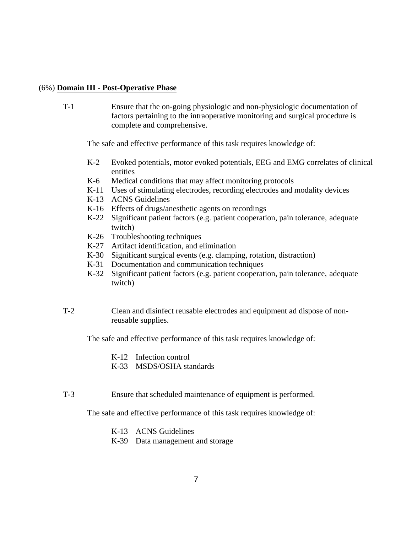#### (6%) **Domain III - Post-Operative Phase**

T-1 Ensure that the on-going physiologic and non-physiologic documentation of factors pertaining to the intraoperative monitoring and surgical procedure is complete and comprehensive.

The safe and effective performance of this task requires knowledge of:

- K-2 Evoked potentials, motor evoked potentials, EEG and EMG correlates of clinical entities
- K-6 Medical conditions that may affect monitoring protocols
- K-11 Uses of stimulating electrodes, recording electrodes and modality devices
- K-13 ACNS Guidelines
- K-16 Effects of drugs/anesthetic agents on recordings
- K-22 Significant patient factors (e.g. patient cooperation, pain tolerance, adequate twitch)
- K-26 Troubleshooting techniques
- K-27 Artifact identification, and elimination
- K-30 Significant surgical events (e.g. clamping, rotation, distraction)
- K-31 Documentation and communication techniques
- K-32 Significant patient factors (e.g. patient cooperation, pain tolerance, adequate twitch)
- T-2 Clean and disinfect reusable electrodes and equipment ad dispose of nonreusable supplies.

The safe and effective performance of this task requires knowledge of:

- K-12 Infection control
- K-33 MSDS/OSHA standards
- T-3 Ensure that scheduled maintenance of equipment is performed.

- K-13 ACNS Guidelines
- K-39 Data management and storage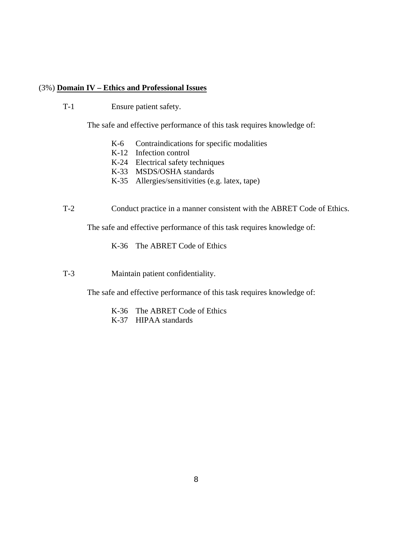#### (3%) **Domain IV – Ethics and Professional Issues**

T-1 Ensure patient safety.

The safe and effective performance of this task requires knowledge of:

- K-6 Contraindications for specific modalities
- K-12 Infection control
- K-24 Electrical safety techniques
- K-33 MSDS/OSHA standards
- K-35 Allergies/sensitivities (e.g. latex, tape)
- T-2 Conduct practice in a manner consistent with the ABRET Code of Ethics.

The safe and effective performance of this task requires knowledge of:

K-36 The ABRET Code of Ethics

T-3 Maintain patient confidentiality.

- K-36 The ABRET Code of Ethics
- K-37 HIPAA standards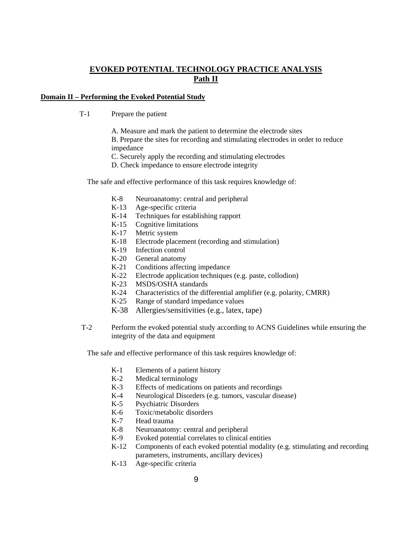### **EVOKED POTENTIAL TECHNOLOGY PRACTICE ANALYSIS Path II**

#### **Domain II – Performing the Evoked Potential Study**

- T-1 Prepare the patient
	- A. Measure and mark the patient to determine the electrode sites

 B. Prepare the sites for recording and stimulating electrodes in order to reduce impedance

C. Securely apply the recording and stimulating electrodes

D. Check impedance to ensure electrode integrity

The safe and effective performance of this task requires knowledge of:

- K-8 Neuroanatomy: central and peripheral
- K-13 Age-specific criteria
- K-14 Techniques for establishing rapport
- K-15 Cognitive limitations
- K-17 Metric system
- K-18 Electrode placement (recording and stimulation)
- K-19 Infection control
- K-20 General anatomy
- K-21 Conditions affecting impedance
- K-22 Electrode application techniques (e.g. paste, collodion)
- K-23 MSDS/OSHA standards
- K-24 Characteristics of the differential amplifier (e.g. polarity, CMRR)
- K-25 Range of standard impedance values
- K-38 Allergies/sensitivities (e.g., latex, tape)
- T-2 Perform the evoked potential study according to ACNS Guidelines while ensuring the integrity of the data and equipment

- K-1 Elements of a patient history
- K-2 Medical terminology
- K-3 Effects of medications on patients and recordings
- K-4 Neurological Disorders (e.g. tumors, vascular disease)
- K-5 Psychiatric Disorders
- K-6 Toxic/metabolic disorders
- K-7 Head trauma
- K-8 Neuroanatomy: central and peripheral
- K-9 Evoked potential correlates to clinical entities
- K-12 Components of each evoked potential modality (e.g. stimulating and recording parameters, instruments, ancillary devices)
- K-13 Age-specific criteria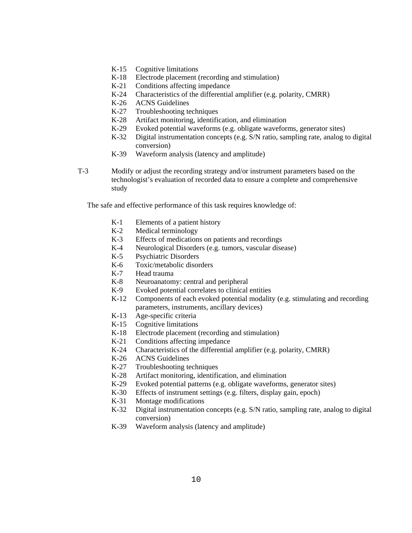- K-15 Cognitive limitations
- K-18 Electrode placement (recording and stimulation)
- K-21 Conditions affecting impedance
- K-24 Characteristics of the differential amplifier (e.g. polarity, CMRR)
- K-26 ACNS Guidelines
- K-27 Troubleshooting techniques
- K-28 Artifact monitoring, identification, and elimination
- K-29 Evoked potential waveforms (e.g. obligate waveforms, generator sites)
- K-32 Digital instrumentation concepts (e.g. S/N ratio, sampling rate, analog to digital conversion)
- K-39 Waveform analysis (latency and amplitude)
- T-3 Modify or adjust the recording strategy and/or instrument parameters based on the technologist's evaluation of recorded data to ensure a complete and comprehensive study

- K-1 Elements of a patient history
- K-2 Medical terminology
- K-3 Effects of medications on patients and recordings
- K-4 Neurological Disorders (e.g. tumors, vascular disease)
- K-5 Psychiatric Disorders
- K-6 Toxic/metabolic disorders
- K-7 Head trauma
- K-8 Neuroanatomy: central and peripheral
- K-9 Evoked potential correlates to clinical entities
- K-12 Components of each evoked potential modality (e.g. stimulating and recording parameters, instruments, ancillary devices)
- K-13 Age-specific criteria
- K-15 Cognitive limitations
- K-18 Electrode placement (recording and stimulation)
- K-21 Conditions affecting impedance
- K-24 Characteristics of the differential amplifier (e.g. polarity, CMRR)
- K-26 ACNS Guidelines
- K-27 Troubleshooting techniques
- K-28 Artifact monitoring, identification, and elimination
- K-29 Evoked potential patterns (e.g. obligate waveforms, generator sites)
- K-30 Effects of instrument settings (e.g. filters, display gain, epoch)
- K-31 Montage modifications
- K-32 Digital instrumentation concepts (e.g. S/N ratio, sampling rate, analog to digital conversion)
- K-39 Waveform analysis (latency and amplitude)